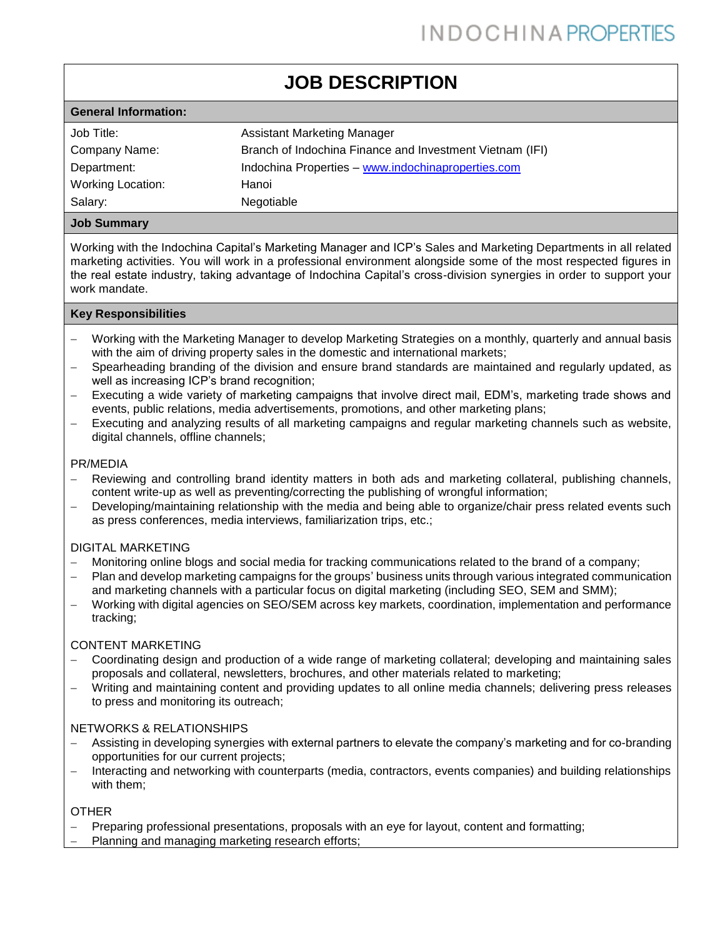# **JOB DESCRIPTION**

| <b>General Information:</b> |                                                          |
|-----------------------------|----------------------------------------------------------|
| Job Title:                  | Assistant Marketing Manager                              |
| Company Name:               | Branch of Indochina Finance and Investment Vietnam (IFI) |
| Department:                 | Indochina Properties - www.indochinaproperties.com       |
| Working Location:           | Hanoi                                                    |
| Salary:                     | Negotiable                                               |
|                             |                                                          |

# **Job Summary**

Working with the Indochina Capital's Marketing Manager and ICP's Sales and Marketing Departments in all related marketing activities. You will work in a professional environment alongside some of the most respected figures in the real estate industry, taking advantage of Indochina Capital's cross-division synergies in order to support your work mandate.

# **Key Responsibilities**

- − Working with the Marketing Manager to develop Marketing Strategies on a monthly, quarterly and annual basis with the aim of driving property sales in the domestic and international markets;
- − Spearheading branding of the division and ensure brand standards are maintained and regularly updated, as well as increasing ICP's brand recognition;
- − Executing a wide variety of marketing campaigns that involve direct mail, EDM's, marketing trade shows and events, public relations, media advertisements, promotions, and other marketing plans;
- Executing and analyzing results of all marketing campaigns and regular marketing channels such as website, digital channels, offline channels;

# PR/MEDIA

- − Reviewing and controlling brand identity matters in both ads and marketing collateral, publishing channels, content write-up as well as preventing/correcting the publishing of wrongful information;
- − Developing/maintaining relationship with the media and being able to organize/chair press related events such as press conferences, media interviews, familiarization trips, etc.;

#### DIGITAL MARKETING

- − Monitoring online blogs and social media for tracking communications related to the brand of a company;
- − Plan and develop marketing campaigns for the groups' business units through various integrated communication and marketing channels with a particular focus on digital marketing (including SEO, SEM and SMM);
- − Working with digital agencies on SEO/SEM across key markets, coordination, implementation and performance tracking;

#### CONTENT MARKETING

- − Coordinating design and production of a wide range of marketing collateral; developing and maintaining sales proposals and collateral, newsletters, brochures, and other materials related to marketing;
- − Writing and maintaining content and providing updates to all online media channels; delivering press releases to press and monitoring its outreach;

#### NETWORKS & RELATIONSHIPS

- − Assisting in developing synergies with external partners to elevate the company's marketing and for co-branding opportunities for our current projects;
- − Interacting and networking with counterparts (media, contractors, events companies) and building relationships with them;

# OTHER

- Preparing professional presentations, proposals with an eye for layout, content and formatting;
- − Planning and managing marketing research efforts;